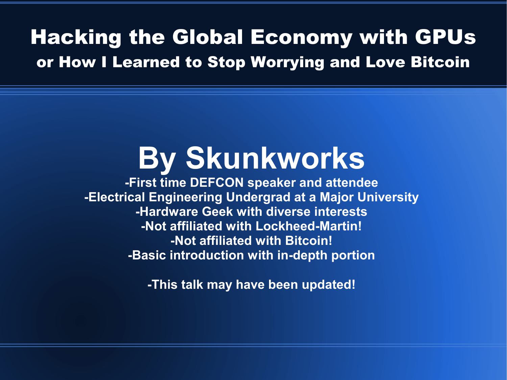#### Hacking the Global Economy with GPUs or How I Learned to Stop Worrying and Love Bitcoin

### **By Skunkworks**

**-First time DEFCON speaker and attendee -Electrical Engineering Undergrad at a Major University -Hardware Geek with diverse interests -Not affiliated with Lockheed-Martin! -Not affiliated with Bitcoin! -Basic introduction with in-depth portion**

**-This talk may have been updated!**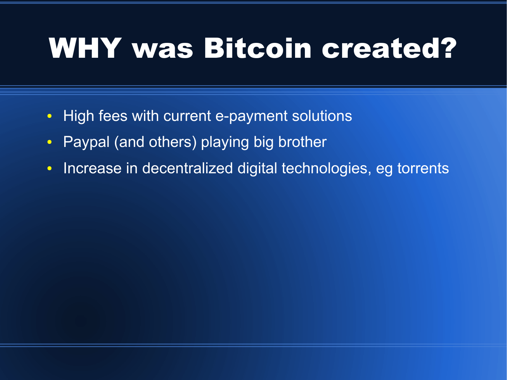# WHY was Bitcoin created?

- High fees with current e-payment solutions
- Paypal (and others) playing big brother
- Increase in decentralized digital technologies, eg torrents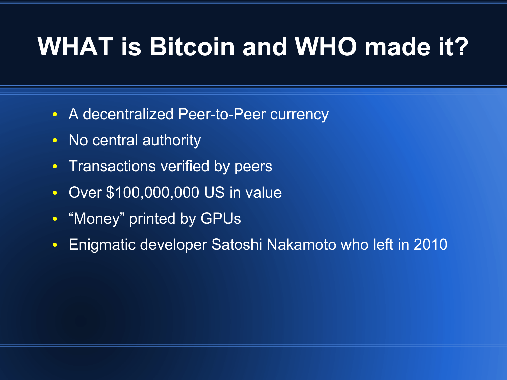### **WHAT is Bitcoin and WHO made it?**

- A decentralized Peer-to-Peer currency
- No central authority
- Transactions verified by peers
- Over \$100,000,000 US in value
- "Money" printed by GPUs
- Enigmatic developer Satoshi Nakamoto who left in 2010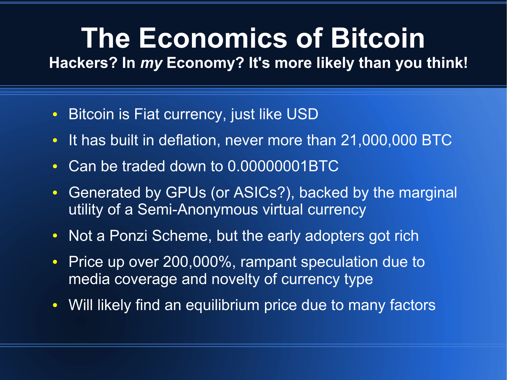# **The Economics of Bitcoin**

**Hackers? In** *my* **Economy? It's more likely than you think!**

- Bitcoin is Fiat currency, just like USD
- It has built in deflation, never more than 21,000,000 BTC
- Can be traded down to 0.00000001BTC
- Generated by GPUs (or ASICs?), backed by the marginal utility of a Semi-Anonymous virtual currency
- Not a Ponzi Scheme, but the early adopters got rich
- Price up over 200,000%, rampant speculation due to media coverage and novelty of currency type
- Will likely find an equilibrium price due to many factors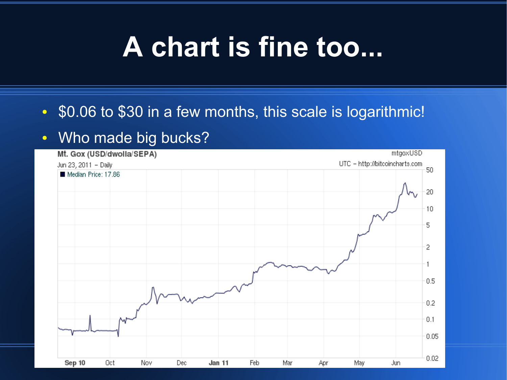### **A chart is fine too...**

#### • \$0.06 to \$30 in a few months, this scale is logarithmic!

#### • Who made big bucks?

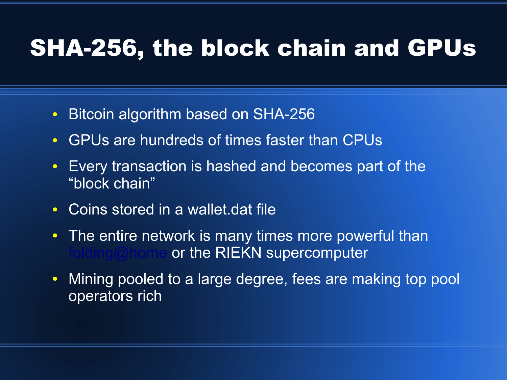### SHA-256, the block chain and GPUs

- Bitcoin algorithm based on SHA-256
- GPUs are hundreds of times faster than CPUs
- Every transaction is hashed and becomes part of the "block chain"
- Coins stored in a wallet.dat file
- The entire network is many times more powerful than or the RIEKN supercomputer
- Mining pooled to a large degree, fees are making top pool operators rich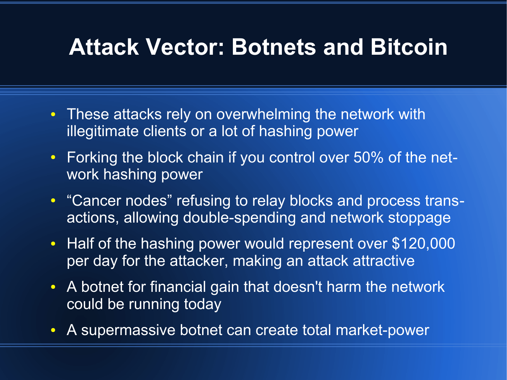#### **Attack Vector: Botnets and Bitcoin**

- These attacks rely on overwhelming the network with illegitimate clients or a lot of hashing power
- Forking the block chain if you control over 50% of the network hashing power
- "Cancer nodes" refusing to relay blocks and process transactions, allowing double-spending and network stoppage
- Half of the hashing power would represent over \$120,000 per day for the attacker, making an attack attractive
- A botnet for financial gain that doesn't harm the network could be running today
- A supermassive botnet can create total market-power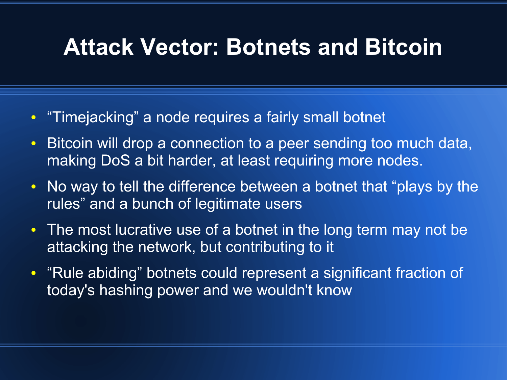#### **Attack Vector: Botnets and Bitcoin**

- "Timejacking" a node requires a fairly small botnet
- Bitcoin will drop a connection to a peer sending too much data, making DoS a bit harder, at least requiring more nodes.
- No way to tell the difference between a botnet that "plays by the rules" and a bunch of legitimate users
- The most lucrative use of a botnet in the long term may not be attacking the network, but contributing to it
- "Rule abiding" botnets could represent a significant fraction of today's hashing power and we wouldn't know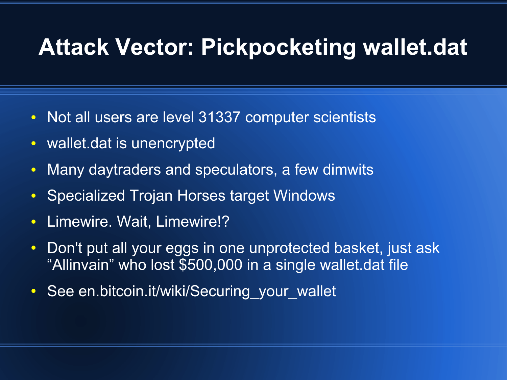#### **Attack Vector: Pickpocketing wallet.dat**

- Not all users are level 31337 computer scientists
- wallet.dat is unencrypted
- Many daytraders and speculators, a few dimwits
- Specialized Trojan Horses target Windows
- Limewire. Wait, Limewire!?
- Don't put all your eggs in one unprotected basket, just ask "Allinvain" who lost \$500,000 in a single wallet.dat file
- See en.bitcoin.it/wiki/Securing your wallet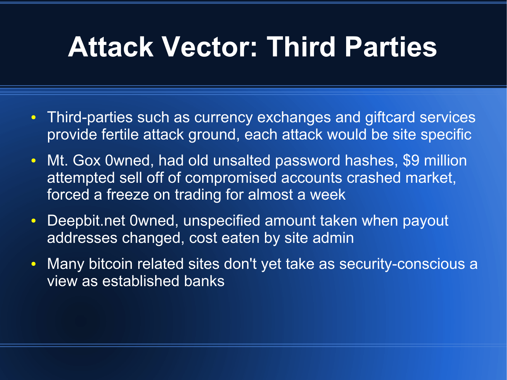### **Attack Vector: Third Parties**

- Third-parties such as currency exchanges and giftcard services provide fertile attack ground, each attack would be site specific
- Mt. Gox 0wned, had old unsalted password hashes, \$9 million attempted sell off of compromised accounts crashed market, forced a freeze on trading for almost a week
- Deepbit.net 0wned, unspecified amount taken when payout addresses changed, cost eaten by site admin
- Many bitcoin related sites don't yet take as security-conscious a view as established banks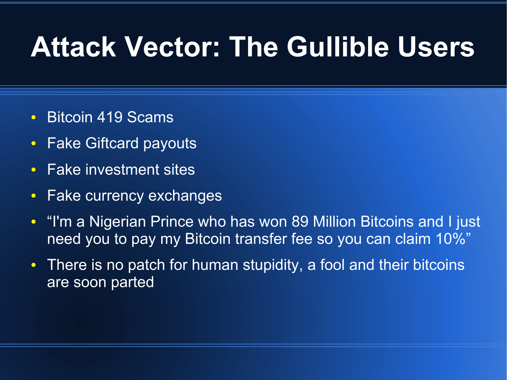## **Attack Vector: The Gullible Users**

- Bitcoin 419 Scams
- Fake Giftcard payouts
- Fake investment sites
- Fake currency exchanges
- "I'm a Nigerian Prince who has won 89 Million Bitcoins and I just need you to pay my Bitcoin transfer fee so you can claim 10%"
- There is no patch for human stupidity, a fool and their bitcoins are soon parted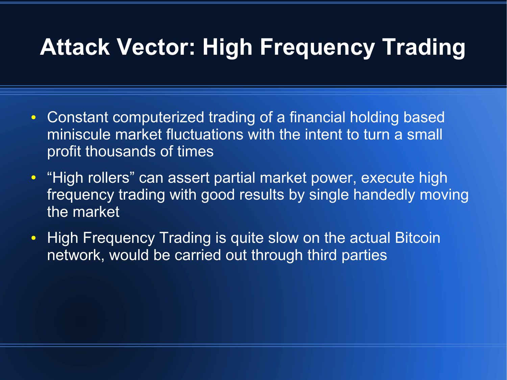### **Attack Vector: High Frequency Trading**

- Constant computerized trading of a financial holding based miniscule market fluctuations with the intent to turn a small profit thousands of times
- "High rollers" can assert partial market power, execute high frequency trading with good results by single handedly moving the market
- High Frequency Trading is quite slow on the actual Bitcoin network, would be carried out through third parties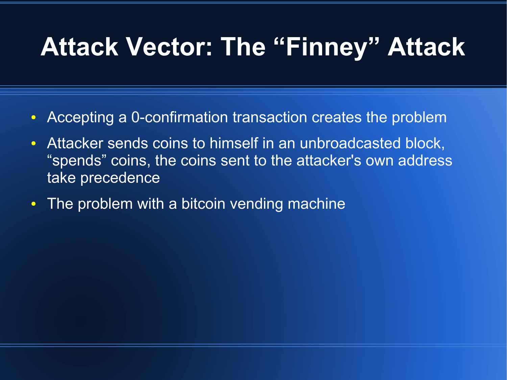### **Attack Vector: The "Finney" Attack**

- Accepting a 0-confirmation transaction creates the problem
- Attacker sends coins to himself in an unbroadcasted block, "spends" coins, the coins sent to the attacker's own address take precedence
- The problem with a bitcoin vending machine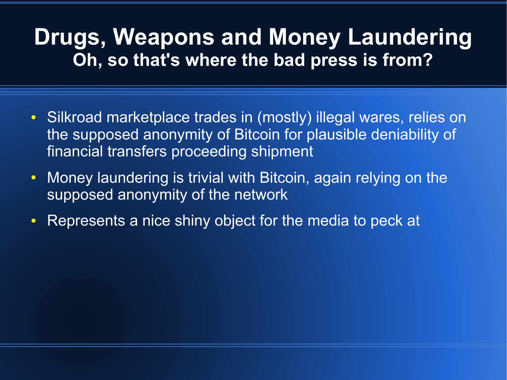#### **Drugs, Weapons and Money Laundering Oh, so that's where the bad press is from?**

- Silkroad marketplace trades in (mostly) illegal wares, relies on the supposed anonymity of Bitcoin for plausible deniability of financial transfers proceeding shipment
- Money laundering is trivial with Bitcoin, again relying on the supposed anonymity of the network
- Represents a nice shiny object for the media to peck at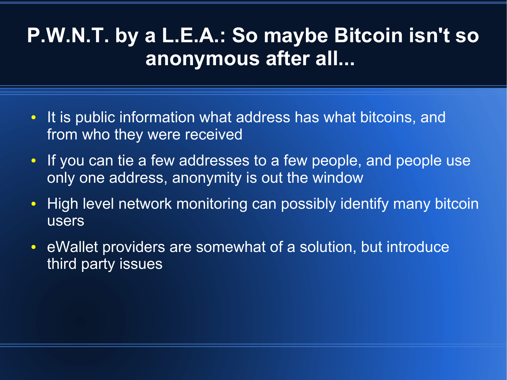#### **P.W.N.T. by a L.E.A.: So maybe Bitcoin isn't so anonymous after all...**

- It is public information what address has what bitcoins, and from who they were received
- If you can tie a few addresses to a few people, and people use only one address, anonymity is out the window
- High level network monitoring can possibly identify many bitcoin users
- eWallet providers are somewhat of a solution, but introduce third party issues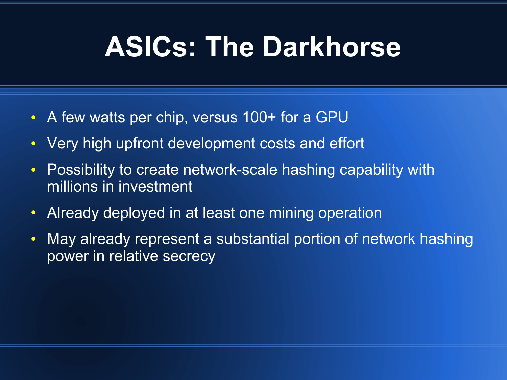### **ASICs: The Darkhorse**

- A few watts per chip, versus 100+ for a GPU
- Very high upfront development costs and effort
- Possibility to create network-scale hashing capability with millions in investment
- Already deployed in at least one mining operation
- May already represent a substantial portion of network hashing power in relative secrecy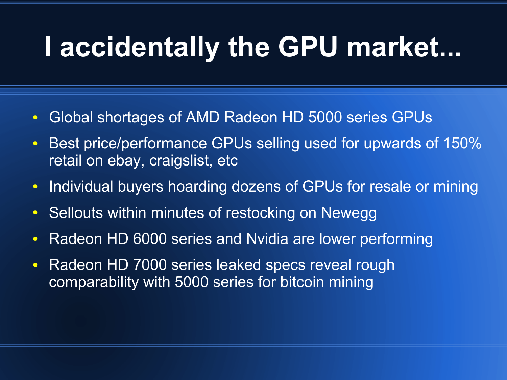## **I accidentally the GPU market...**

- Global shortages of AMD Radeon HD 5000 series GPUs
- Best price/performance GPUs selling used for upwards of 150% retail on ebay, craigslist, etc
- Individual buyers hoarding dozens of GPUs for resale or mining
- Sellouts within minutes of restocking on Newegg
- Radeon HD 6000 series and Nvidia are lower performing
- Radeon HD 7000 series leaked specs reveal rough comparability with 5000 series for bitcoin mining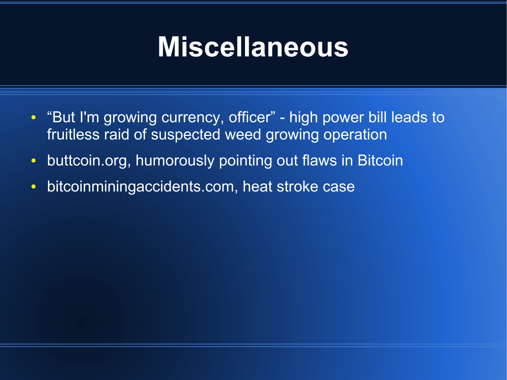### **Miscellaneous**

- "But I'm growing currency, officer" - high power bill leads to fruitless raid of suspected weed growing operation
- buttcoin.org, humorously pointing out flaws in Bitcoin
- bitcoinminingaccidents.com, heat stroke case